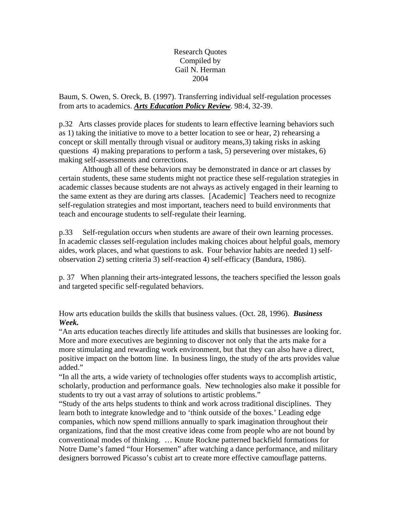Research Quotes Compiled by Gail N. Herman 2004

Baum, S. Owen, S. Oreck, B. (1997). Transferring individual self-regulation processes from arts to academics. *Arts Education Policy Review*. 98:4, 32-39.

p.32 Arts classes provide places for students to learn effective learning behaviors such as 1) taking the initiative to move to a better location to see or hear, 2) rehearsing a concept or skill mentally through visual or auditory means,3) taking risks in asking questions 4) making preparations to perform a task, 5) persevering over mistakes, 6) making self-assessments and corrections.

Although all of these behaviors may be demonstrated in dance or art classes by certain students, these same students might not practice these self-regulation strategies in academic classes because students are not always as actively engaged in their learning to the same extent as they are during arts classes. [Academic] Teachers need to recognize self-regulation strategies and most important, teachers need to build environments that teach and encourage students to self-regulate their learning.

p.33 Self-regulation occurs when students are aware of their own learning processes. In academic classes self-regulation includes making choices about helpful goals, memory aides, work places, and what questions to ask. Four behavior habits are needed 1) selfobservation 2) setting criteria 3) self-reaction 4) self-efficacy (Bandura, 1986).

p. 37 When planning their arts-integrated lessons, the teachers specified the lesson goals and targeted specific self-regulated behaviors.

How arts education builds the skills that business values. (Oct. 28, 1996). *Business Week.*

"An arts education teaches directly life attitudes and skills that businesses are looking for. More and more executives are beginning to discover not only that the arts make for a more stimulating and rewarding work environment, but that they can also have a direct, positive impact on the bottom line. In business lingo, the study of the arts provides value added."

"In all the arts, a wide variety of technologies offer students ways to accomplish artistic, scholarly, production and performance goals. New technologies also make it possible for students to try out a vast array of solutions to artistic problems."

"Study of the arts helps students to think and work across traditional disciplines. They learn both to integrate knowledge and to 'think outside of the boxes.' Leading edge companies, which now spend millions annually to spark imagination throughout their organizations, find that the most creative ideas come from people who are not bound by conventional modes of thinking. … Knute Rockne patterned backfield formations for Notre Dame's famed "four Horsemen" after watching a dance performance, and military designers borrowed Picasso's cubist art to create more effective camouflage patterns.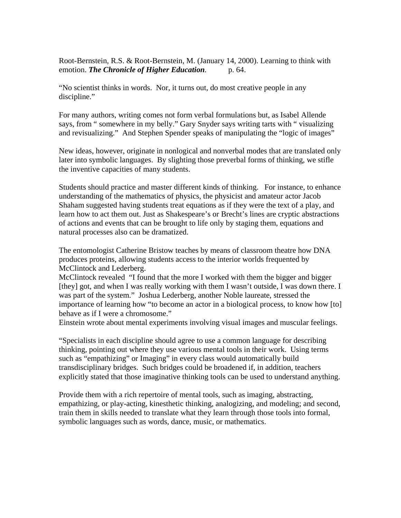Root-Bernstein, R.S. & Root-Bernstein, M. (January 14, 2000). Learning to think with emotion. *The Chronicle of Higher Education.* p. 64.

"No scientist thinks in words. Nor, it turns out, do most creative people in any discipline."

For many authors, writing comes not form verbal formulations but, as Isabel Allende says, from " somewhere in my belly." Gary Snyder says writing tarts with " visualizing and revisualizing." And Stephen Spender speaks of manipulating the "logic of images"

New ideas, however, originate in nonlogical and nonverbal modes that are translated only later into symbolic languages. By slighting those preverbal forms of thinking, we stifle the inventive capacities of many students.

Students should practice and master different kinds of thinking. For instance, to enhance understanding of the mathematics of physics, the physicist and amateur actor Jacob Shaham suggested having students treat equations as if they were the text of a play, and learn how to act them out. Just as Shakespeare's or Brecht's lines are cryptic abstractions of actions and events that can be brought to life only by staging them, equations and natural processes also can be dramatized.

The entomologist Catherine Bristow teaches by means of classroom theatre how DNA produces proteins, allowing students access to the interior worlds frequented by McClintock and Lederberg.

McClintock revealed "I found that the more I worked with them the bigger and bigger [they] got, and when I was really working with them I wasn't outside, I was down there. I was part of the system." Joshua Lederberg, another Noble laureate, stressed the importance of learning how "to become an actor in a biological process, to know how [to] behave as if I were a chromosome."

Einstein wrote about mental experiments involving visual images and muscular feelings.

"Specialists in each discipline should agree to use a common language for describing thinking, pointing out where they use various mental tools in their work. Using terms such as "empathizing" or Imaging" in every class would automatically build transdisciplinary bridges. Such bridges could be broadened if, in addition, teachers explicitly stated that those imaginative thinking tools can be used to understand anything.

Provide them with a rich repertoire of mental tools, such as imaging, abstracting, empathizing, or play-acting, kinesthetic thinking, analogizing, and modeling; and second, train them in skills needed to translate what they learn through those tools into formal, symbolic languages such as words, dance, music, or mathematics.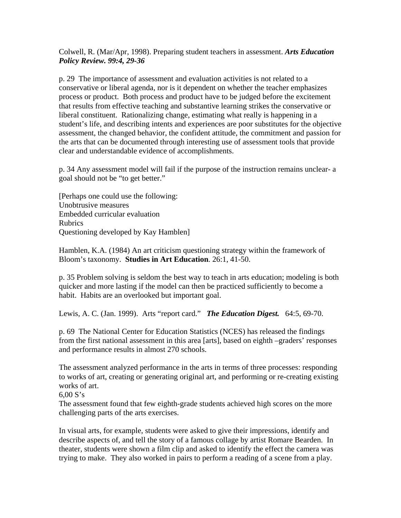Colwell, R. (Mar/Apr, 1998). Preparing student teachers in assessment. *Arts Education Policy Review. 99:4, 29-36*

p. 29 The importance of assessment and evaluation activities is not related to a conservative or liberal agenda, nor is it dependent on whether the teacher emphasizes process or product. Both process and product have to be judged before the excitement that results from effective teaching and substantive learning strikes the conservative or liberal constituent. Rationalizing change, estimating what really is happening in a student's life, and describing intents and experiences are poor substitutes for the objective assessment, the changed behavior, the confident attitude, the commitment and passion for the arts that can be documented through interesting use of assessment tools that provide clear and understandable evidence of accomplishments.

p. 34 Any assessment model will fail if the purpose of the instruction remains unclear- a goal should not be "to get better."

[Perhaps one could use the following: Unobtrusive measures Embedded curricular evaluation Rubrics Questioning developed by Kay Hamblen]

Hamblen, K.A. (1984) An art criticism questioning strategy within the framework of Bloom's taxonomy. **Studies in Art Education**. 26:1, 41-50.

p. 35 Problem solving is seldom the best way to teach in arts education; modeling is both quicker and more lasting if the model can then be practiced sufficiently to become a habit. Habits are an overlooked but important goal.

Lewis, A. C. (Jan. 1999). Arts "report card." *The Education Digest.* 64:5, 69-70.

p. 69 The National Center for Education Statistics (NCES) has released the findings from the first national assessment in this area [arts], based on eighth –graders' responses and performance results in almost 270 schools.

The assessment analyzed performance in the arts in terms of three processes: responding to works of art, creating or generating original art, and performing or re-creating existing works of art.

 $6.00 S's$ 

The assessment found that few eighth-grade students achieved high scores on the more challenging parts of the arts exercises.

In visual arts, for example, students were asked to give their impressions, identify and describe aspects of, and tell the story of a famous collage by artist Romare Bearden. In theater, students were shown a film clip and asked to identify the effect the camera was trying to make. They also worked in pairs to perform a reading of a scene from a play.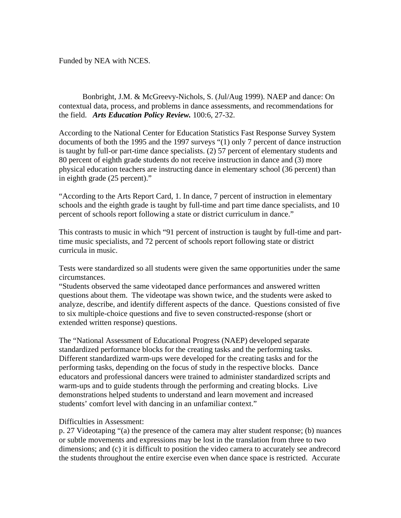Funded by NEA with NCES.

Bonbright, J.M. & McGreevy-Nichols, S. (Jul/Aug 1999). NAEP and dance: On contextual data, process, and problems in dance assessments, and recommendations for the field. *Arts Education Policy Review.* 100:6, 27-32.

According to the National Center for Education Statistics Fast Response Survey System documents of both the 1995 and the 1997 surveys "(1) only 7 percent of dance instruction is taught by full-or part-time dance specialists. (2) 57 percent of elementary students and 80 percent of eighth grade students do not receive instruction in dance and (3) more physical education teachers are instructing dance in elementary school (36 percent) than in eighth grade (25 percent)."

"According to the Arts Report Card, 1. In dance, 7 percent of instruction in elementary schools and the eighth grade is taught by full-time and part time dance specialists, and 10 percent of schools report following a state or district curriculum in dance."

This contrasts to music in which "91 percent of instruction is taught by full-time and parttime music specialists, and 72 percent of schools report following state or district curricula in music.

Tests were standardized so all students were given the same opportunities under the same circumstances.

"Students observed the same videotaped dance performances and answered written questions about them. The videotape was shown twice, and the students were asked to analyze, describe, and identify different aspects of the dance. Questions consisted of five to six multiple-choice questions and five to seven constructed-response (short or extended written response) questions.

The "National Assessment of Educational Progress (NAEP) developed separate standardized performance blocks for the creating tasks and the performing tasks. Different standardized warm-ups were developed for the creating tasks and for the performing tasks, depending on the focus of study in the respective blocks. Dance educators and professional dancers were trained to administer standardized scripts and warm-ups and to guide students through the performing and creating blocks. Live demonstrations helped students to understand and learn movement and increased students' comfort level with dancing in an unfamiliar context."

## Difficulties in Assessment:

p. 27 Videotaping "(a) the presence of the camera may alter student response; (b) nuances or subtle movements and expressions may be lost in the translation from three to two dimensions; and (c) it is difficult to position the video camera to accurately see andrecord the students throughout the entire exercise even when dance space is restricted. Accurate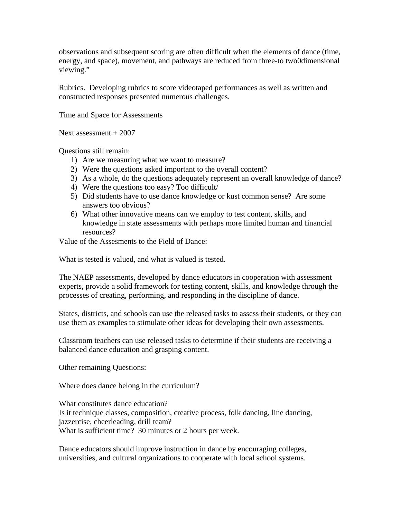observations and subsequent scoring are often difficult when the elements of dance (time, energy, and space), movement, and pathways are reduced from three-to two0dimensional viewing."

Rubrics. Developing rubrics to score videotaped performances as well as written and constructed responses presented numerous challenges.

Time and Space for Assessments

Next assessment + 2007

Questions still remain:

- 1) Are we measuring what we want to measure?
- 2) Were the questions asked important to the overall content?
- 3) As a whole, do the questions adequately represent an overall knowledge of dance?
- 4) Were the questions too easy? Too difficult/
- 5) Did students have to use dance knowledge or kust common sense? Are some answers too obvious?
- 6) What other innovative means can we employ to test content, skills, and knowledge in state assessments with perhaps more limited human and financial resources?

Value of the Assesments to the Field of Dance:

What is tested is valued, and what is valued is tested.

The NAEP assessments, developed by dance educators in cooperation with assessment experts, provide a solid framework for testing content, skills, and knowledge through the processes of creating, performing, and responding in the discipline of dance.

States, districts, and schools can use the released tasks to assess their students, or they can use them as examples to stimulate other ideas for developing their own assessments.

Classroom teachers can use released tasks to determine if their students are receiving a balanced dance education and grasping content.

Other remaining Questions:

Where does dance belong in the curriculum?

What constitutes dance education? Is it technique classes, composition, creative process, folk dancing, line dancing, jazzercise, cheerleading, drill team? What is sufficient time? 30 minutes or 2 hours per week.

Dance educators should improve instruction in dance by encouraging colleges, universities, and cultural organizations to cooperate with local school systems.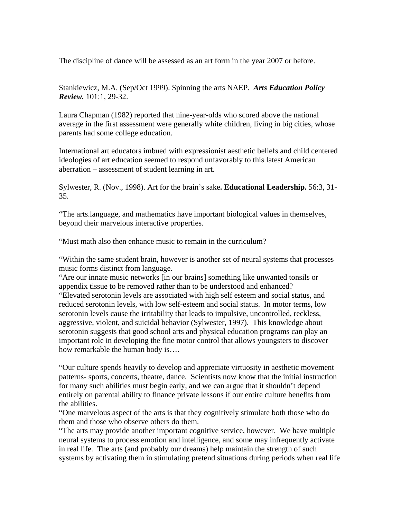The discipline of dance will be assessed as an art form in the year 2007 or before.

Stankiewicz, M.A. (Sep/Oct 1999). Spinning the arts NAEP. *Arts Education Policy Review.* 101:1, 29-32.

Laura Chapman (1982) reported that nine-year-olds who scored above the national average in the first assessment were generally white children, living in big cities, whose parents had some college education.

International art educators imbued with expressionist aesthetic beliefs and child centered ideologies of art education seemed to respond unfavorably to this latest American aberration – assessment of student learning in art.

Sylwester, R. (Nov., 1998). Art for the brain's sake**. Educational Leadership.** 56:3, 31- 35.

"The arts.language, and mathematics have important biological values in themselves, beyond their marvelous interactive properties.

"Must math also then enhance music to remain in the curriculum?

"Within the same student brain, however is another set of neural systems that processes music forms distinct from language.

"Are our innate music networks [in our brains] something like unwanted tonsils or appendix tissue to be removed rather than to be understood and enhanced?

"Elevated serotonin levels are associated with high self esteem and social status, and reduced serotonin levels, with low self-esteem and social status. In motor terms, low serotonin levels cause the irritability that leads to impulsive, uncontrolled, reckless, aggressive, violent, and suicidal behavior (Sylwester, 1997). This knowledge about serotonin suggests that good school arts and physical education programs can play an important role in developing the fine motor control that allows youngsters to discover how remarkable the human body is….

"Our culture spends heavily to develop and appreciate virtuosity in aesthetic movement patterns- sports, concerts, theatre, dance. Scientists now know that the initial instruction for many such abilities must begin early, and we can argue that it shouldn't depend entirely on parental ability to finance private lessons if our entire culture benefits from the abilities.

"One marvelous aspect of the arts is that they cognitively stimulate both those who do them and those who observe others do them.

"The arts may provide another important cognitive service, however. We have multiple neural systems to process emotion and intelligence, and some may infrequently activate in real life. The arts (and probably our dreams) help maintain the strength of such systems by activating them in stimulating pretend situations during periods when real life